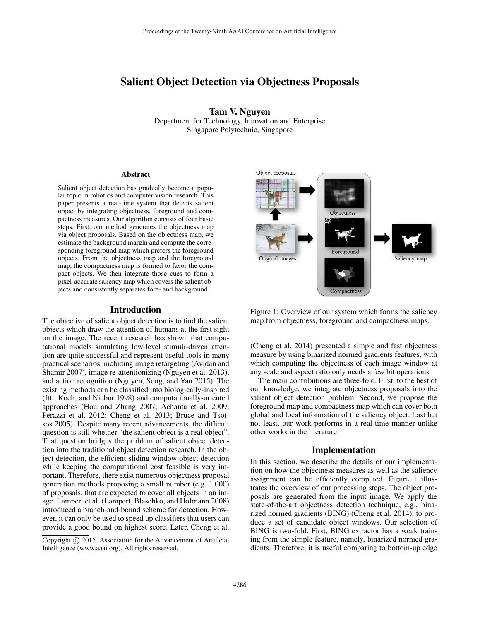# Salient Object Detection via Objectness Proposals

Tam V. Nguyen Department for Technology, Innovation and Enterprise Singapore Polytechnic, Singapore

#### Abstract

Salient object detection has gradually become a popular topic in robotics and computer vision research. This paper presents a real-time system that detects salient object by integrating objectness, foreground and compactness measures. Our algorithm consists of four basic steps. First, our method generates the objectness map via object proposals. Based on the objectness map, we estimate the background margin and compute the corresponding foreground map which prefers the foreground objects. From the objectness map and the foreground map, the compactness map is formed to favor the compact objects. We then integrate those cues to form a pixel-accurate saliency map which covers the salient objects and consistently separates fore- and background.

#### Introduction

The objective of salient object detection is to find the salient objects which draw the attention of humans at the first sight on the image. The recent research has shown that computational models simulating low-level stimuli-driven attention are quite successful and represent useful tools in many practical scenarios, including image retargeting (Avidan and Shamir 2007), image re-attentionizing (Nguyen et al. 2013), and action recognition (Nguyen, Song, and Yan 2015). The existing methods can be classified into biologically-inspired (Itti, Koch, and Niebur 1998) and computationally-oriented approaches (Hou and Zhang 2007; Achanta et al. 2009; Perazzi et al. 2012; Cheng et al. 2013; Bruce and Tsotsos 2005). Despite many recent advancements, the difficult question is still whether "the salient object is a real object". That question bridges the problem of salient object detection into the traditional object detection research. In the object detection, the efficient sliding window object detection while keeping the computational cost feasible is very important. Therefore, there exist numerous objectness proposal generation methods proposing a small number (e.g. 1,000) of proposals, that are expected to cover all objects in an image. Lampert et al. (Lampert, Blaschko, and Hofmann 2008) introduced a branch-and-bound scheme for detection. However, it can only be used to speed up classifiers that users can provide a good bound on highest score. Later, Cheng et al.





(Cheng et al. 2014) presented a simple and fast objectness measure by using binarized normed gradients features, with which computing the objectness of each image window at any scale and aspect ratio only needs a few bit operations.

The main contributions are three-fold. First, to the best of our knowledge, we integrate objectness proposals into the salient object detection problem. Second, we propose the foreground map and compactness map which can cover both global and local information of the saliency object. Last but not least, our work performs in a real-time manner unlike other works in the literature.

### Implementation

In this section, we describe the details of our implementation on how the objectness measures as well as the saliency assignment can be efficiently computed. Figure 1 illustrates the overview of our processing steps. The object proposals are generated from the input image. We apply the state-of-the-art objectness detection technique, e.g., binarized normed gradients (BING) (Cheng et al. 2014), to produce a set of candidate object windows. Our selection of BING is two-fold. First, BING extractor has a weak training from the simple feature, namely, binarized normed gradients. Therefore, it is useful comparing to bottom-up edge

Copyright (c) 2015, Association for the Advancement of Artificial Intelligence (www.aaai.org). All rights reserved.